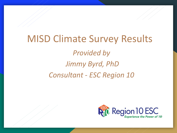# MISD Climate Survey Results *Provided by Jimmy Byrd, PhD Consultant - ESC Region 10*

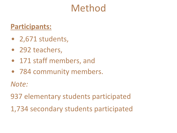# Method

#### **Participants:**

- 2,671 students,
- 292 teachers,
- 171 staff members, and
- 784 community members.

*Note:*

937 elementary students participated

1,734 secondary students participated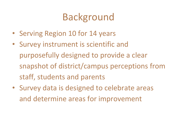# Background

- Serving Region 10 for 14 years
- Survey instrument is scientific and purposefully designed to provide a clear snapshot of district/campus perceptions from staff, students and parents
- Survey data is designed to celebrate areas and determine areas for improvement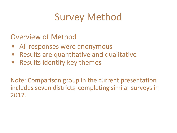# Survey Method

#### Overview of Method

- All responses were anonymous
- Results are quantitative and qualitative
- Results identify key themes

Note: Comparison group in the current presentation includes seven districts completing similar surveys in 2017.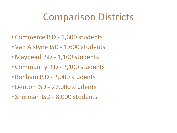# Comparison Districts

- Commerce ISD 1,600 students
- Van Alstyne ISD 1,600 students
- Maypearl ISD 1,100 students
- Community ISD 2,100 students
- Bonham ISD 2,000 students
- •Denton ISD 27,000 students
- Sherman ISD 8,000 students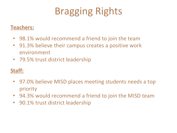# Bragging Rights

#### **Teachers:**

- 98.1% would recommend a friend to join the team
- 91.3% believe their campus creates a positive work environment
- 79.5% trust district leadership

#### **Staff:**

- 97.0% believe MISD places meeting students needs a top priority
- 94.3% would recommend a friend to join the MISD team
- 90.1% trust district leadership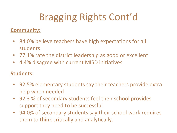# Bragging Rights Cont'd

#### **Community:**

- 84.0% believe teachers have high expectations for all students
- 77.1% rate the district leadership as good or excellent
- 4.4% disagree with current MISD initiatives

#### **Students:**

- 92.5% elementary students say their teachers provide extra help when needed
- 92.3 % of secondary students feel their school provides support they need to be successful
- 94.0% of secondary students say their school work requires them to think critically and analytically.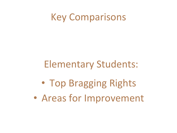## Key Comparisons

### Elementary Students:

- Top Bragging Rights
- Areas for Improvement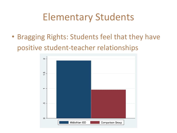• Bragging Rights: Students feel that they have positive student-teacher relationships

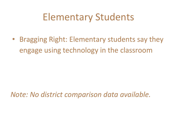• Bragging Right: Elementary students say they engage using technology in the classroom

*Note: No district comparison data available.*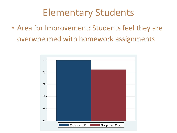• Area for Improvement: Students feel they are overwhelmed with homework assignments

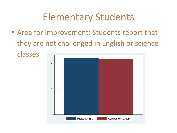• Area for Improvement: Students report that they are not challenged in English or science classes

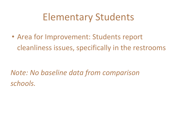• Area for Improvement: Students report cleanliness issues, specifically in the restrooms

*Note: No baseline data from comparison schools.*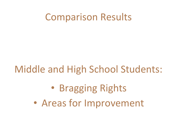## Comparison Results

# Middle and High School Students:

# • Bragging Rights

• Areas for Improvement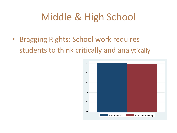# Middle & High School

• Bragging Rights: School work requires students to think critically and analytically

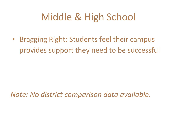# Middle & High School

• Bragging Right: Students feel their campus provides support they need to be successful

*Note: No district comparison data available.*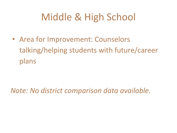# Middle & High School

• Area for Improvement: Counselors talking/helping students with future/career plans

*Note: No district comparison data available.*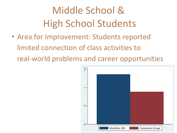# Middle School & High School Students

• Area for Improvement: Students reported limited connection of class activities to real-world problems and career opportunities

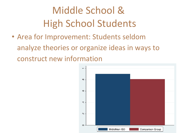# Middle School & High School Students

• Area for Improvement: Students seldom analyze theories or organize ideas in ways to construct new information

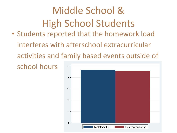# Middle School & High School Students

• Students reported that the homework load interferes with afterschool extracurricular activities and family based events outside of

school hours

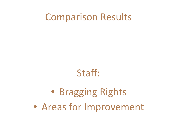## Comparison Results

## Staff:

# • Bragging Rights

• Areas for Improvement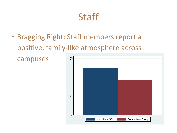### **Staff**

• Bragging Right: Staff members report a positive, family-like atmosphere across

campuses

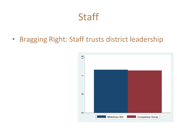### Staff

• Bragging Right: Staff trusts district leadership

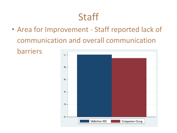# **Staff**

• Area for Improvement - Staff reported lack of communication and overall communication barriers

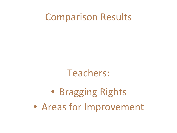## Comparison Results

### Teachers:

# • Bragging Rights

• Areas for Improvement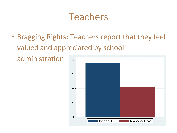• Bragging Rights: Teachers report that they feel valued and appreciated by school

administration

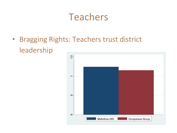• Bragging Rights: Teachers trust district leadership

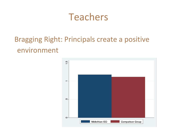#### Bragging Right: Principals create a positive environment

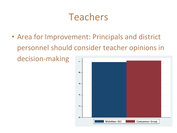• Area for Improvement: Principals and district personnel should consider teacher opinions in decision-making

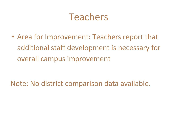• Area for Improvement: Teachers report that additional staff development is necessary for overall campus improvement

Note: No district comparison data available.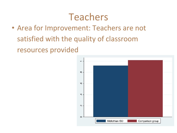• Area for Improvement: Teachers are not satisfied with the quality of classroom resources provided

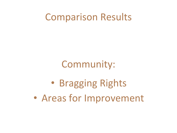## Comparison Results

Community:

• Bragging Rights

• Areas for Improvement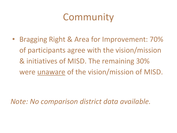# Community

• Bragging Right & Area for Improvement: 70% of participants agree with the vision/mission & initiatives of MISD. The remaining 30% were unaware of the vision/mission of MISD.

*Note: No comparison district data available.*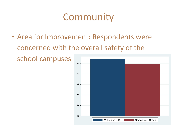# Community

• Area for Improvement: Respondents were concerned with the overall safety of the

school campuses

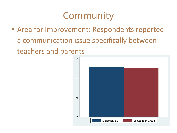# Community

• Area for Improvement: Respondents reported a communication issue specifically between teachers and parents

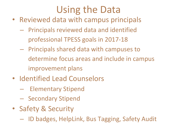# Using the Data

- Reviewed data with campus principals
	- Principals reviewed data and identified professional TPESS goals in 2017-18
	- Principals shared data with campuses to determine focus areas and include in campus improvement plans
- Identified Lead Counselors
	- Elementary Stipend
	- Secondary Stipend
- Safety & Security
	- ID badges, HelpLink, Bus Tagging, Safety Audit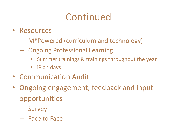# Continued

- Resources
	- M\*Powered (curriculum and technology)
	- Ongoing Professional Learning
		- Summer trainings & trainings throughout the year
		- iPlan days
- Communication Audit
- Ongoing engagement, feedback and input opportunities
	- Survey
	- Face to Face